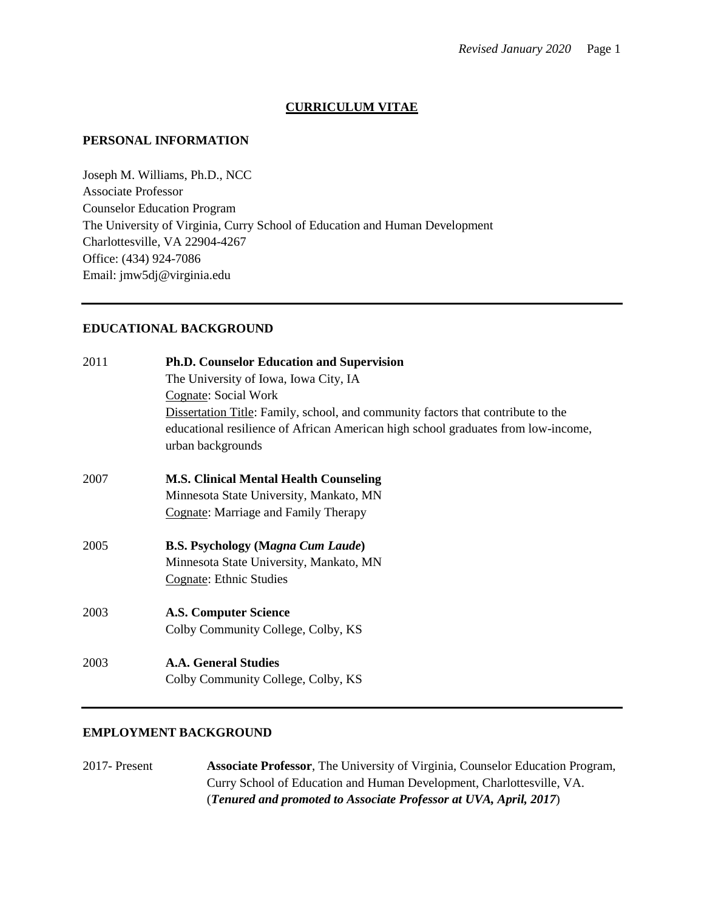# **CURRICULUM VITAE**

#### **PERSONAL INFORMATION**

Joseph M. Williams, Ph.D., NCC Associate Professor Counselor Education Program The University of Virginia, Curry School of Education and Human Development Charlottesville, VA 22904-4267 Office: (434) 924-7086 Email: jmw5dj@virginia.edu

## **EDUCATIONAL BACKGROUND**

| 2011 | <b>Ph.D. Counselor Education and Supervision</b>                                  |
|------|-----------------------------------------------------------------------------------|
|      | The University of Iowa, Iowa City, IA                                             |
|      | Cognate: Social Work                                                              |
|      | Dissertation Title: Family, school, and community factors that contribute to the  |
|      | educational resilience of African American high school graduates from low-income, |
|      | urban backgrounds                                                                 |
| 2007 | <b>M.S. Clinical Mental Health Counseling</b>                                     |
|      | Minnesota State University, Mankato, MN                                           |
|      | Cognate: Marriage and Family Therapy                                              |
| 2005 | <b>B.S. Psychology (Magna Cum Laude)</b>                                          |
|      | Minnesota State University, Mankato, MN                                           |
|      | Cognate: Ethnic Studies                                                           |
| 2003 | <b>A.S. Computer Science</b>                                                      |
|      | Colby Community College, Colby, KS                                                |
| 2003 | <b>A.A. General Studies</b>                                                       |
|      | Colby Community College, Colby, KS                                                |
|      |                                                                                   |

# **EMPLOYMENT BACKGROUND**

2017- Present **Associate Professor**, The University of Virginia, Counselor Education Program, Curry School of Education and Human Development, Charlottesville, VA. (*Tenured and promoted to Associate Professor at UVA, April, 2017*)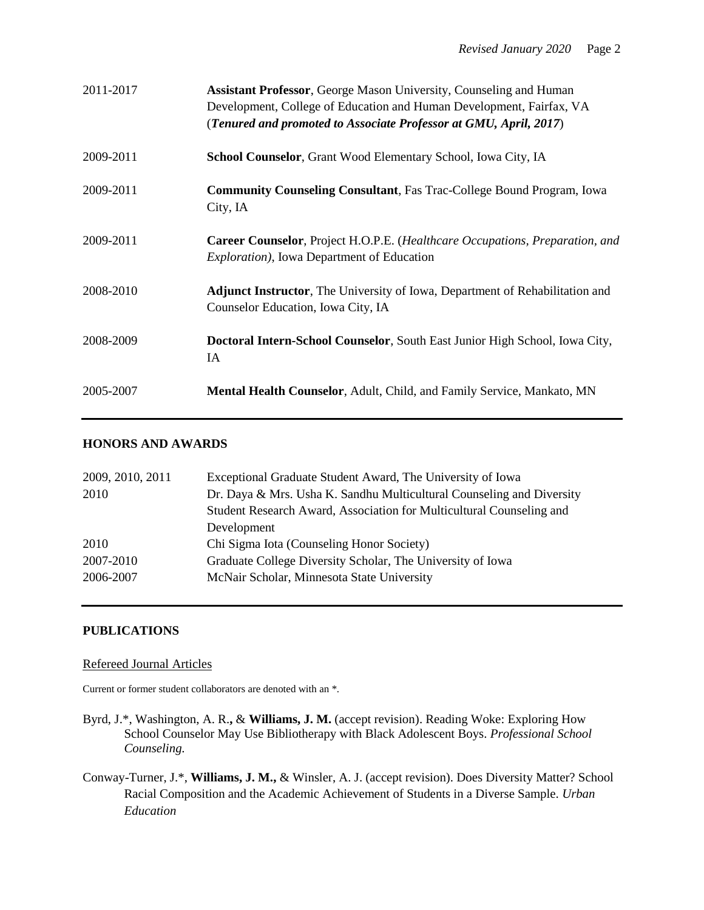| 2011-2017 | <b>Assistant Professor, George Mason University, Counseling and Human</b><br>Development, College of Education and Human Development, Fairfax, VA<br>(Tenured and promoted to Associate Professor at GMU, April, 2017) |
|-----------|------------------------------------------------------------------------------------------------------------------------------------------------------------------------------------------------------------------------|
| 2009-2011 | School Counselor, Grant Wood Elementary School, Iowa City, IA                                                                                                                                                          |
| 2009-2011 | <b>Community Counseling Consultant</b> , Fas Trac-College Bound Program, Iowa<br>City, IA                                                                                                                              |
| 2009-2011 | <b>Career Counselor</b> , Project H.O.P.E. (Healthcare Occupations, Preparation, and<br><i>Exploration</i> ), Iowa Department of Education                                                                             |
| 2008-2010 | <b>Adjunct Instructor,</b> The University of Iowa, Department of Rehabilitation and<br>Counselor Education, Iowa City, IA                                                                                              |
| 2008-2009 | Doctoral Intern-School Counselor, South East Junior High School, Iowa City,<br>IA                                                                                                                                      |
| 2005-2007 | Mental Health Counselor, Adult, Child, and Family Service, Mankato, MN                                                                                                                                                 |

# **HONORS AND AWARDS**

| 2009, 2010, 2011 | Exceptional Graduate Student Award, The University of Iowa            |
|------------------|-----------------------------------------------------------------------|
| 2010             | Dr. Daya & Mrs. Usha K. Sandhu Multicultural Counseling and Diversity |
|                  | Student Research Award, Association for Multicultural Counseling and  |
|                  | Development                                                           |
| 2010             | Chi Sigma Iota (Counseling Honor Society)                             |
| 2007-2010        | Graduate College Diversity Scholar, The University of Iowa            |
| 2006-2007        | McNair Scholar, Minnesota State University                            |
|                  |                                                                       |

## **PUBLICATIONS**

### Refereed Journal Articles

Current or former student collaborators are denoted with an \*.

- Byrd, J.\*, Washington, A. R.**,** & **Williams, J. M.** (accept revision). Reading Woke: Exploring How School Counselor May Use Bibliotherapy with Black Adolescent Boys. *Professional School Counseling.*
- Conway-Turner, J.\*, **Williams, J. M.,** & Winsler, A. J. (accept revision). Does Diversity Matter? School Racial Composition and the Academic Achievement of Students in a Diverse Sample. *Urban Education*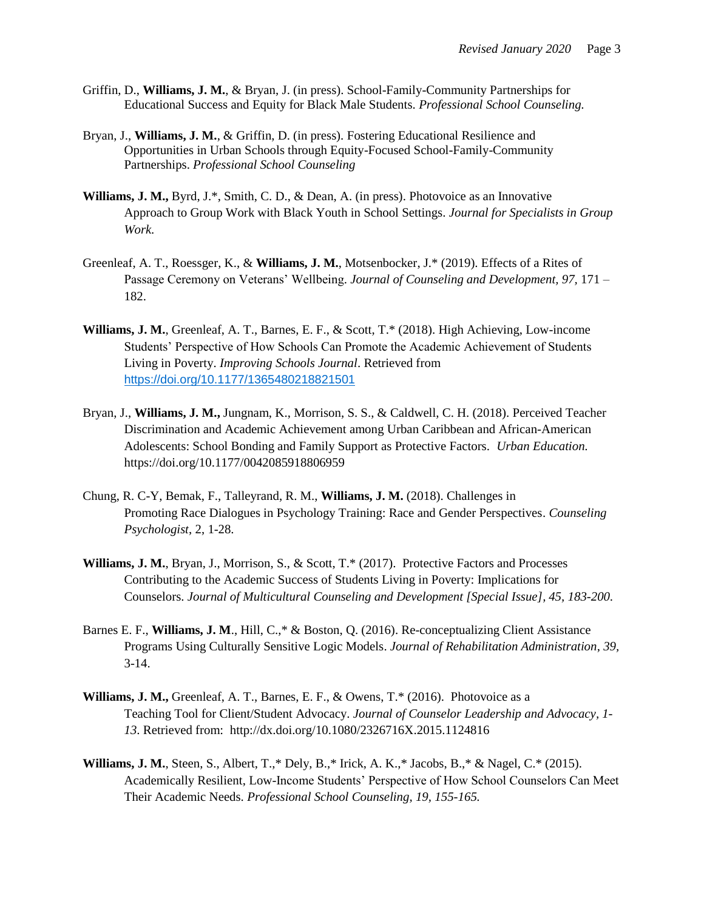- Griffin, D., **Williams, J. M.**, & Bryan, J. (in press). School-Family-Community Partnerships for Educational Success and Equity for Black Male Students. *Professional School Counseling.*
- Bryan, J., **Williams, J. M.**, & Griffin, D. (in press). Fostering Educational Resilience and Opportunities in Urban Schools through Equity-Focused School-Family-Community Partnerships. *Professional School Counseling*
- **Williams, J. M.,** Byrd, J.\*, Smith, C. D., & Dean, A. (in press). Photovoice as an Innovative Approach to Group Work with Black Youth in School Settings. *Journal for Specialists in Group Work.*
- Greenleaf, A. T., Roessger, K., & **Williams, J. M.**, Motsenbocker, J.\* (2019). Effects of a Rites of Passage Ceremony on Veterans' Wellbeing. *Journal of Counseling and Development, 97,* 171 – 182.
- **Williams, J. M.**, Greenleaf, A. T., Barnes, E. F., & Scott, T.\* (2018). High Achieving, Low-income Students' Perspective of How Schools Can Promote the Academic Achievement of Students Living in Poverty. *Improving Schools Journal*. Retrieved from [https://doi.org/10.1177/1365480218821501](https://doi.org/10.1177%2F1365480218821501)
- Bryan, J., **Williams, J. M.,** Jungnam, K., Morrison, S. S., & Caldwell, C. H. (2018). Perceived Teacher Discrimination and Academic Achievement among Urban Caribbean and African-American Adolescents: School Bonding and Family Support as Protective Factors. *Urban Education.*  https://doi.org/10.1177/0042085918806959
- Chung, R. C-Y, Bemak, F., Talleyrand, R. M., **Williams, J. M.** (2018). Challenges in Promoting Race Dialogues in Psychology Training: Race and Gender Perspectives. *Counseling Psychologist*, 2, 1-28.
- **Williams, J. M.**, Bryan, J., Morrison, S., & Scott, T.\* (2017). Protective Factors and Processes Contributing to the Academic Success of Students Living in Poverty: Implications for Counselors. *Journal of Multicultural Counseling and Development [Special Issue], 45, 183-200*.
- Barnes E. F., **Williams, J. M**., Hill, C.,\* & Boston, Q. (2016). Re-conceptualizing Client Assistance Programs Using Culturally Sensitive Logic Models. *Journal of Rehabilitation Administration*, *39,* 3-14.
- **Williams, J. M.,** Greenleaf, A. T., Barnes, E. F., & Owens, T.\* (2016). Photovoice as a Teaching Tool for Client/Student Advocacy. *Journal of Counselor Leadership and Advocacy, 1- 13*. Retrieved from: http://dx.doi.org/10.1080/2326716X.2015.1124816
- **Williams, J. M.**, Steen, S., Albert, T.,\* Dely, B.,\* Irick, A. K.,\* Jacobs, B.,\* & Nagel, C.\* (2015). Academically Resilient, Low-Income Students' Perspective of How School Counselors Can Meet Their Academic Needs. *Professional School Counseling, 19, 155-165.*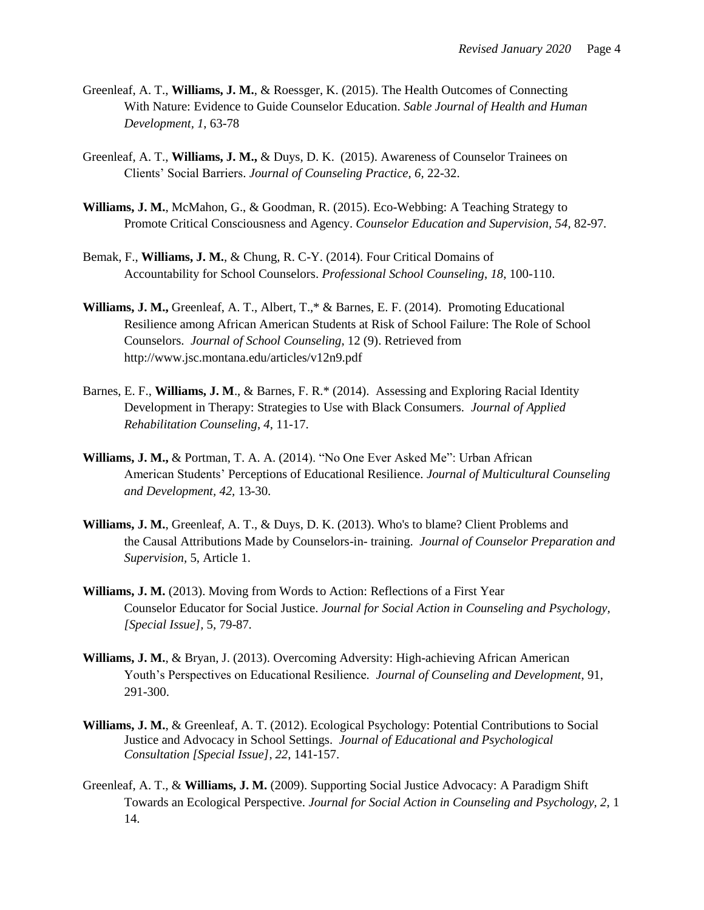- Greenleaf, A. T., **Williams, J. M.**, & Roessger, K. (2015). The Health Outcomes of Connecting With Nature: Evidence to Guide Counselor Education. *Sable Journal of Health and Human Development, 1*, 63-78
- Greenleaf, A. T., **Williams, J. M.,** & Duys, D. K. (2015). Awareness of Counselor Trainees on Clients' Social Barriers. *Journal of Counseling Practice, 6,* 22-32.
- **Williams, J. M.**, McMahon, G., & Goodman, R. (2015). Eco-Webbing: A Teaching Strategy to Promote Critical Consciousness and Agency. *Counselor Education and Supervision, 54,* 82-97*.*
- Bemak, F., **Williams, J. M.**, & Chung, R. C-Y. (2014). Four Critical Domains of Accountability for School Counselors. *Professional School Counseling*, *18*, 100-110.
- **Williams, J. M.,** Greenleaf, A. T., Albert, T.,\* & Barnes, E. F. (2014). Promoting Educational Resilience among African American Students at Risk of School Failure: The Role of School Counselors. *Journal of School Counseling*, 12 (9). Retrieved from http://www.jsc.montana.edu/articles/v12n9.pdf
- Barnes, E. F., **Williams, J. M**., & Barnes, F. R.\* (2014). Assessing and Exploring Racial Identity Development in Therapy: Strategies to Use with Black Consumers. *Journal of Applied Rehabilitation Counseling*, *4*, 11-17.
- **Williams, J. M.,** & Portman, T. A. A. (2014). "No One Ever Asked Me": Urban African American Students' Perceptions of Educational Resilience. *Journal of Multicultural Counseling and Development, 42,* 13-30.
- **Williams, J. M.**, Greenleaf, A. T., & Duys, D. K. (2013). Who's to blame? Client Problems and the Causal Attributions Made by Counselors-in- training. *Journal of Counselor Preparation and Supervision,* 5, Article 1.
- **Williams, J. M.** (2013). Moving from Words to Action: Reflections of a First Year Counselor Educator for Social Justice. *Journal for Social Action in Counseling and Psychology, [Special Issue],* 5, 79-87*.*
- **Williams, J. M.**, & Bryan, J. (2013). Overcoming Adversity: High-achieving African American Youth's Perspectives on Educational Resilience*. Journal of Counseling and Development*, 91, 291-300.
- **Williams, J. M.**, & Greenleaf, A. T. (2012). Ecological Psychology: Potential Contributions to Social Justice and Advocacy in School Settings. *Journal of Educational and Psychological Consultation [Special Issue]*, *22*, 141-157.
- Greenleaf, A. T., & **Williams, J. M.** (2009). Supporting Social Justice Advocacy: A Paradigm Shift Towards an Ecological Perspective. *Journal for Social Action in Counseling and Psychology, 2,* 1 14.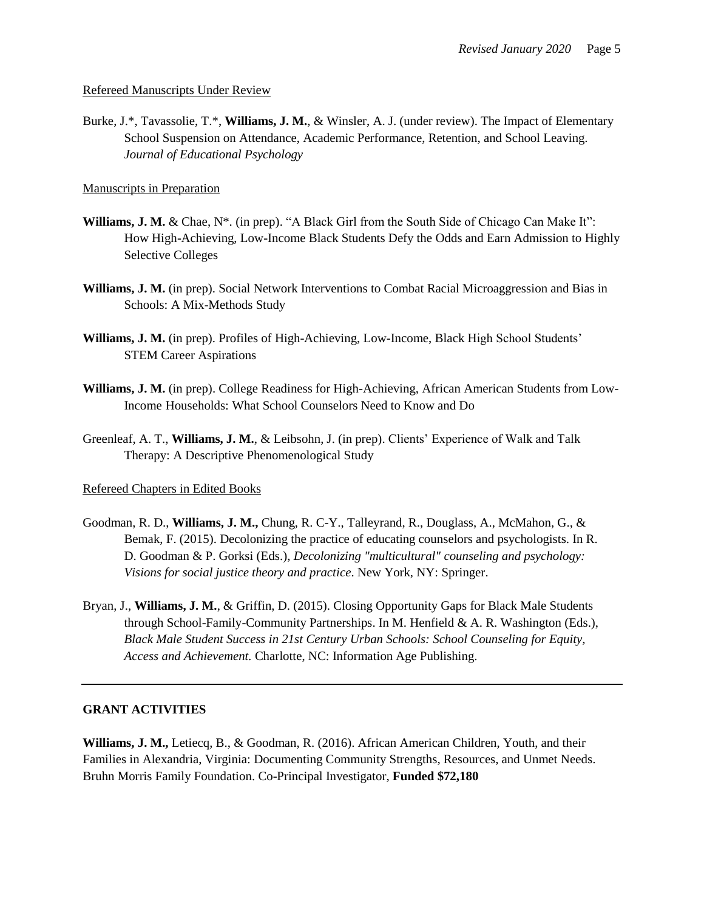#### Refereed Manuscripts Under Review

Burke, J.\*, Tavassolie, T.\*, **Williams, J. M.**, & Winsler, A. J. (under review). The Impact of Elementary School Suspension on Attendance, Academic Performance, Retention, and School Leaving. *Journal of Educational Psychology*

#### Manuscripts in Preparation

- **Williams, J. M.** & Chae, N\*. (in prep). "A Black Girl from the South Side of Chicago Can Make It": How High-Achieving, Low-Income Black Students Defy the Odds and Earn Admission to Highly Selective Colleges
- **Williams, J. M.** (in prep). Social Network Interventions to Combat Racial Microaggression and Bias in Schools: A Mix-Methods Study
- **Williams, J. M.** (in prep). Profiles of High-Achieving, Low-Income, Black High School Students' STEM Career Aspirations
- **Williams, J. M.** (in prep). College Readiness for High-Achieving, African American Students from Low-Income Households: What School Counselors Need to Know and Do
- Greenleaf, A. T., **Williams, J. M.**, & Leibsohn, J. (in prep). Clients' Experience of Walk and Talk Therapy: A Descriptive Phenomenological Study

## Refereed Chapters in Edited Books

- Goodman, R. D., **Williams, J. M.,** Chung, R. C-Y., Talleyrand, R., Douglass, A., McMahon, G., & Bemak, F. (2015). Decolonizing the practice of educating counselors and psychologists. In R. D. Goodman & P. Gorksi (Eds.), *Decolonizing "multicultural" counseling and psychology: Visions for social justice theory and practice*. New York, NY: Springer.
- Bryan, J., **Williams, J. M.**, & Griffin, D. (2015). Closing Opportunity Gaps for Black Male Students through School-Family-Community Partnerships. In M. Henfield & A. R. Washington (Eds.), *Black Male Student Success in 21st Century Urban Schools: School Counseling for Equity, Access and Achievement.* Charlotte, NC: Information Age Publishing.

#### **GRANT ACTIVITIES**

**Williams, J. M.,** Letiecq, B., & Goodman, R. (2016). African American Children, Youth, and their Families in Alexandria, Virginia: Documenting Community Strengths, Resources, and Unmet Needs. Bruhn Morris Family Foundation. Co-Principal Investigator, **Funded \$72,180**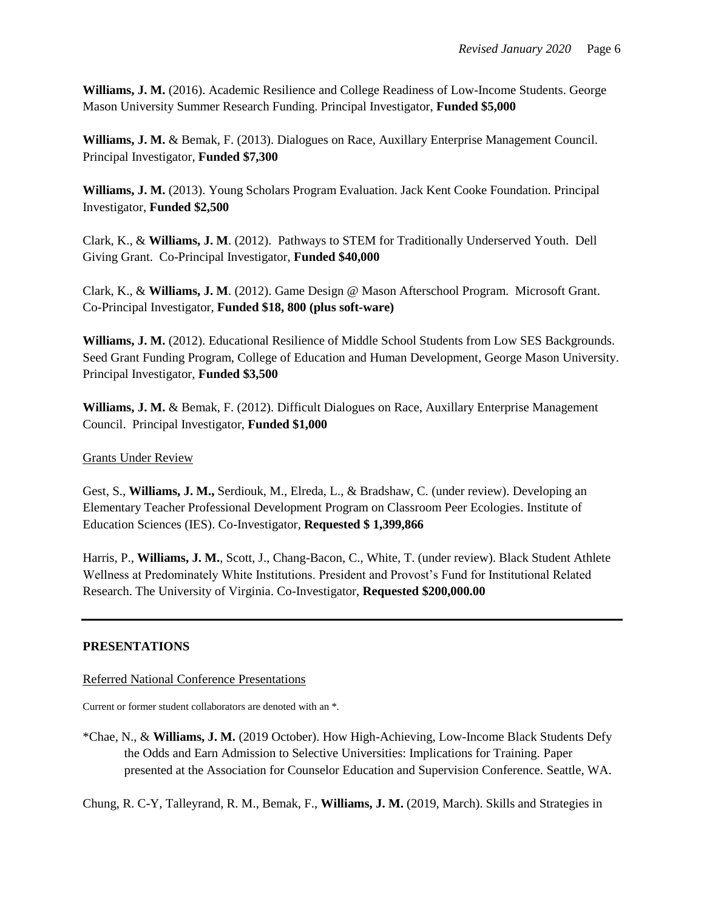**Williams, J. M.** (2016). Academic Resilience and College Readiness of Low-Income Students. George Mason University Summer Research Funding. Principal Investigator, **Funded \$5,000**

**Williams, J. M.** & Bemak, F. (2013). Dialogues on Race, Auxillary Enterprise Management Council. Principal Investigator, **Funded \$7,300**

**Williams, J. M.** (2013). Young Scholars Program Evaluation. Jack Kent Cooke Foundation. Principal Investigator, **Funded \$2,500**

Clark, K., & **Williams, J. M**. (2012). Pathways to STEM for Traditionally Underserved Youth. Dell Giving Grant. Co-Principal Investigator, **Funded \$40,000**

Clark, K., & **Williams, J. M**. (2012). Game Design @ Mason Afterschool Program. Microsoft Grant. Co-Principal Investigator, **Funded \$18, 800 (plus soft-ware)**

**Williams, J. M.** (2012). Educational Resilience of Middle School Students from Low SES Backgrounds. Seed Grant Funding Program, College of Education and Human Development, George Mason University. Principal Investigator, **Funded \$3,500**

**Williams, J. M.** & Bemak, F. (2012). Difficult Dialogues on Race, Auxillary Enterprise Management Council. Principal Investigator, **Funded \$1,000**

Grants Under Review

Gest, S., **Williams, J. M.,** Serdiouk, M., Elreda, L., & Bradshaw, C. (under review). Developing an Elementary Teacher Professional Development Program on Classroom Peer Ecologies. Institute of Education Sciences (IES). Co-Investigator, **Requested \$ 1,399,866**

Harris, P., **Williams, J. M.**, Scott, J., Chang-Bacon, C., White, T. (under review). Black Student Athlete Wellness at Predominately White Institutions. President and Provost's Fund for Institutional Related Research. The University of Virginia. Co-Investigator, **Requested \$200,000.00**

# **PRESENTATIONS**

Referred National Conference Presentations

Current or former student collaborators are denoted with an \*.

\*Chae, N., & **Williams, J. M.** (2019 October). How High-Achieving, Low-Income Black Students Defy the Odds and Earn Admission to Selective Universities: Implications for Training. Paper presented at the Association for Counselor Education and Supervision Conference. Seattle, WA.

Chung, R. C-Y, Talleyrand, R. M., Bemak, F., **Williams, J. M.** (2019, March). Skills and Strategies in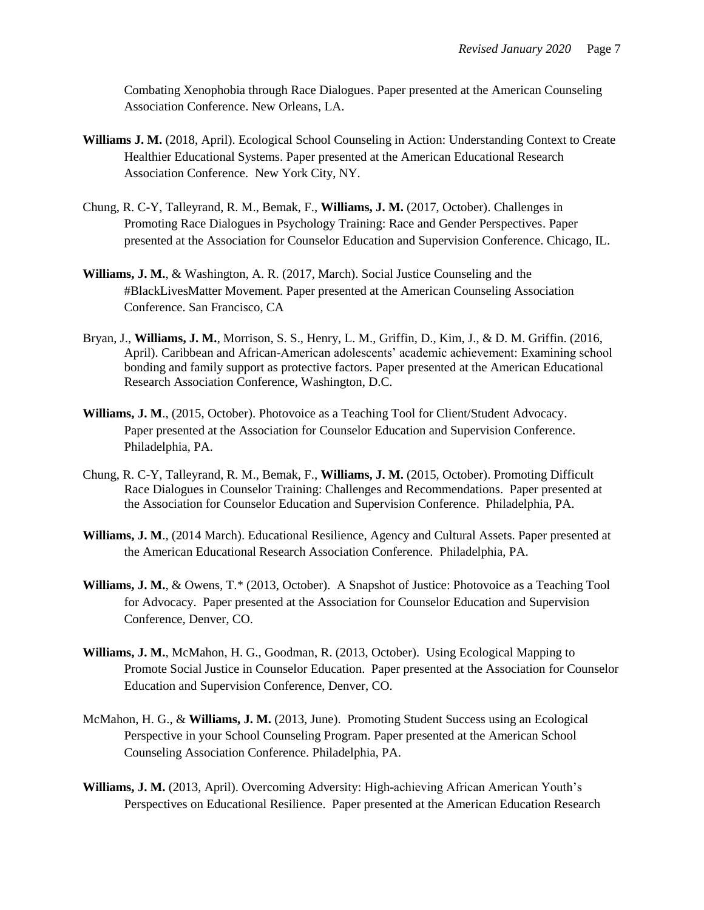Combating Xenophobia through Race Dialogues. Paper presented at the American Counseling Association Conference. New Orleans, LA.

- **Williams J. M.** (2018, April). Ecological School Counseling in Action: Understanding Context to Create Healthier Educational Systems. Paper presented at the American Educational Research Association Conference. New York City, NY.
- Chung, R. C-Y, Talleyrand, R. M., Bemak, F., **Williams, J. M.** (2017, October). Challenges in Promoting Race Dialogues in Psychology Training: Race and Gender Perspectives. Paper presented at the Association for Counselor Education and Supervision Conference. Chicago, IL.
- **Williams, J. M.**, & Washington, A. R. (2017, March). Social Justice Counseling and the #BlackLivesMatter Movement. Paper presented at the American Counseling Association Conference. San Francisco, CA
- Bryan, J., **Williams, J. M.**, Morrison, S. S., Henry, L. M., Griffin, D., Kim, J., & D. M. Griffin. (2016, April). Caribbean and African-American adolescents' academic achievement: Examining school bonding and family support as protective factors. Paper presented at the American Educational Research Association Conference, Washington, D.C.
- **Williams, J. M**., (2015, October). Photovoice as a Teaching Tool for Client/Student Advocacy. Paper presented at the Association for Counselor Education and Supervision Conference. Philadelphia, PA.
- Chung, R. C-Y, Talleyrand, R. M., Bemak, F., **Williams, J. M.** (2015, October). Promoting Difficult Race Dialogues in Counselor Training: Challenges and Recommendations. Paper presented at the Association for Counselor Education and Supervision Conference. Philadelphia, PA.
- **Williams, J. M**., (2014 March). Educational Resilience, Agency and Cultural Assets. Paper presented at the American Educational Research Association Conference. Philadelphia, PA.
- **Williams, J. M.**, & Owens, T.\* (2013, October). A Snapshot of Justice: Photovoice as a Teaching Tool for Advocacy. Paper presented at the Association for Counselor Education and Supervision Conference, Denver, CO.
- **Williams, J. M.**, McMahon, H. G., Goodman, R. (2013, October). Using Ecological Mapping to Promote Social Justice in Counselor Education. Paper presented at the Association for Counselor Education and Supervision Conference, Denver, CO.
- McMahon, H. G., & **Williams, J. M.** (2013, June). Promoting Student Success using an Ecological Perspective in your School Counseling Program. Paper presented at the American School Counseling Association Conference. Philadelphia, PA.
- **Williams, J. M.** (2013, April). Overcoming Adversity: High-achieving African American Youth's Perspectives on Educational Resilience. Paper presented at the American Education Research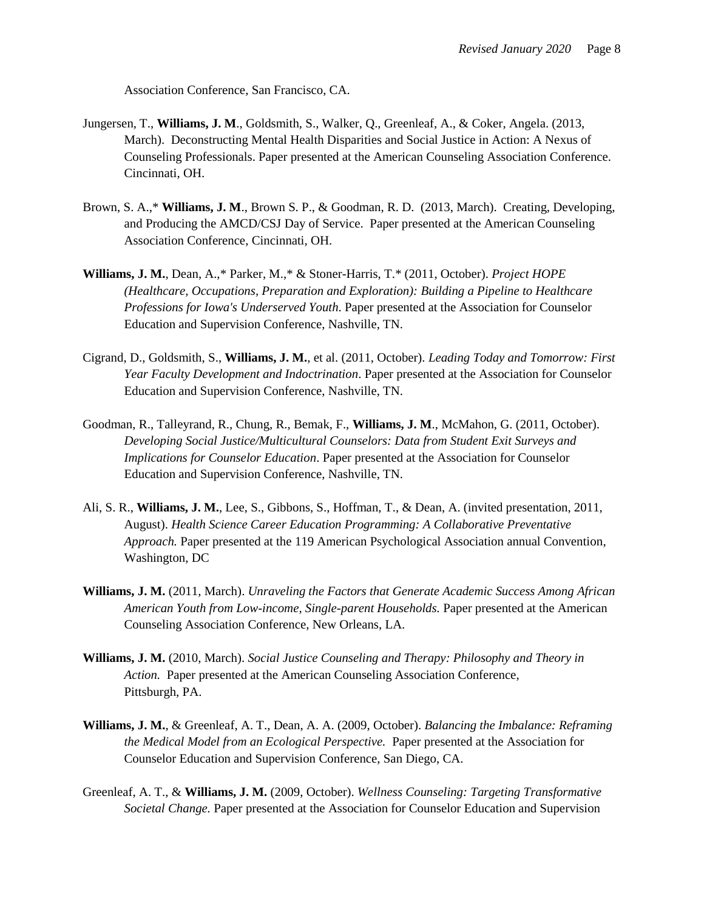Association Conference, San Francisco, CA.

- Jungersen, T., **Williams, J. M**., Goldsmith, S., Walker, Q., Greenleaf, A., & Coker, Angela. (2013, March). Deconstructing Mental Health Disparities and Social Justice in Action: A Nexus of Counseling Professionals. Paper presented at the American Counseling Association Conference. Cincinnati, OH.
- Brown, S. A.,\* **Williams, J. M**., Brown S. P., & Goodman, R. D. (2013, March). Creating, Developing, and Producing the AMCD/CSJ Day of Service. Paper presented at the American Counseling Association Conference, Cincinnati, OH.
- **Williams, J. M.**, Dean, A.,\* Parker, M.,\* & Stoner-Harris, T.\* (2011, October). *Project HOPE (Healthcare, Occupations, Preparation and Exploration): Building a Pipeline to Healthcare Professions for Iowa's Underserved Youth*. Paper presented at the Association for Counselor Education and Supervision Conference, Nashville, TN.
- Cigrand, D., Goldsmith, S., **Williams, J. M.**, et al. (2011, October). *Leading Today and Tomorrow: First Year Faculty Development and Indoctrination*. Paper presented at the Association for Counselor Education and Supervision Conference, Nashville, TN.
- Goodman, R., Talleyrand, R., Chung, R., Bemak, F., **Williams, J. M**., McMahon, G. (2011, October). *Developing Social Justice/Multicultural Counselors: Data from Student Exit Surveys and Implications for Counselor Education*. Paper presented at the Association for Counselor Education and Supervision Conference, Nashville, TN.
- Ali, S. R., **Williams, J. M.**, Lee, S., Gibbons, S., Hoffman, T., & Dean, A. (invited presentation, 2011, August). *Health Science Career Education Programming: A Collaborative Preventative Approach.* Paper presented at the 119 American Psychological Association annual Convention, Washington, DC
- **Williams, J. M.** (2011, March). *Unraveling the Factors that Generate Academic Success Among African American Youth from Low-income, Single-parent Households.* Paper presented at the American Counseling Association Conference, New Orleans, LA.
- **Williams, J. M.** (2010, March). *Social Justice Counseling and Therapy: Philosophy and Theory in Action.* Paper presented at the American Counseling Association Conference, Pittsburgh, PA.
- **Williams, J. M.**, & Greenleaf, A. T., Dean, A. A. (2009, October). *Balancing the Imbalance: Reframing the Medical Model from an Ecological Perspective.* Paper presented at the Association for Counselor Education and Supervision Conference, San Diego, CA.
- Greenleaf, A. T., & **Williams, J. M.** (2009, October). *Wellness Counseling: Targeting Transformative Societal Change.* Paper presented at the Association for Counselor Education and Supervision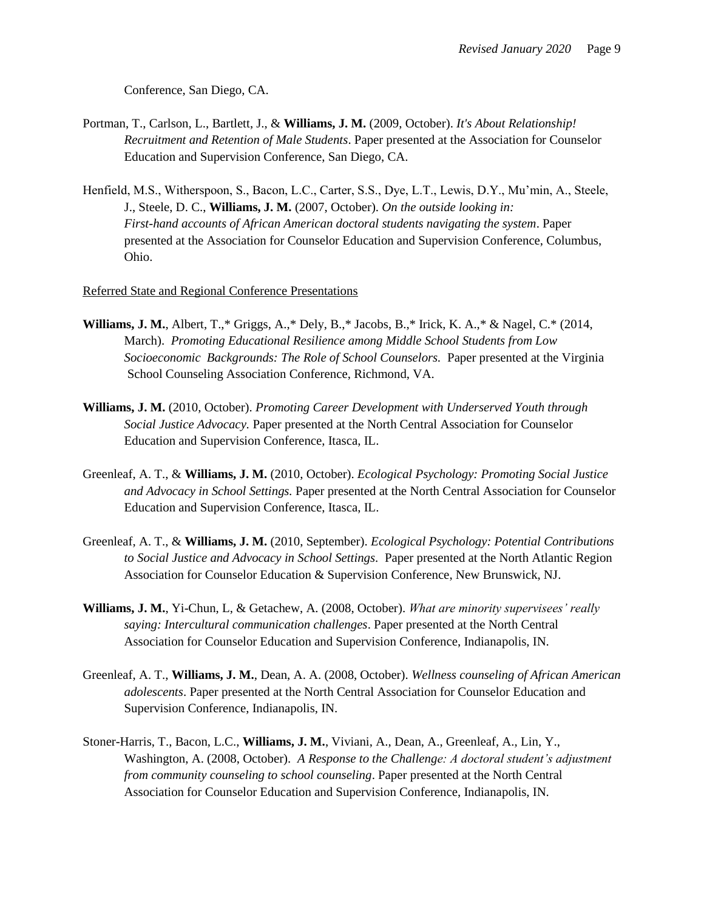Conference, San Diego, CA.

- Portman, T., Carlson, L., Bartlett, J., & **Williams, J. M.** (2009, October). *It's About Relationship! Recruitment and Retention of Male Students*. Paper presented at the Association for Counselor Education and Supervision Conference, San Diego, CA.
- Henfield, M.S., Witherspoon, S., Bacon, L.C., Carter, S.S., Dye, L.T., Lewis, D.Y., Mu'min, A., Steele, J., Steele, D. C., **Williams, J. M.** (2007, October). *On the outside looking in: First-hand accounts of African American doctoral students navigating the system*. Paper presented at the Association for Counselor Education and Supervision Conference, Columbus, Ohio.

#### Referred State and Regional Conference Presentations

- **Williams, J. M.**, Albert, T.,\* Griggs, A.,\* Dely, B.,\* Jacobs, B.,\* Irick, K. A.,\* & Nagel, C.\* (2014, March). *Promoting Educational Resilience among Middle School Students from Low Socioeconomic Backgrounds: The Role of School Counselors.* Paper presented at the Virginia School Counseling Association Conference, Richmond, VA.
- **Williams, J. M.** (2010, October). *Promoting Career Development with Underserved Youth through Social Justice Advocacy.* Paper presented at the North Central Association for Counselor Education and Supervision Conference, Itasca, IL.
- Greenleaf, A. T., & **Williams, J. M.** (2010, October). *Ecological Psychology: Promoting Social Justice and Advocacy in School Settings.* Paper presented at the North Central Association for Counselor Education and Supervision Conference, Itasca, IL.
- Greenleaf, A. T., & **Williams, J. M.** (2010, September). *Ecological Psychology: Potential Contributions to Social Justice and Advocacy in School Settings.* Paper presented at the North Atlantic Region Association for Counselor Education & Supervision Conference, New Brunswick, NJ.
- **Williams, J. M.**, Yi-Chun, L, & Getachew, A. (2008, October). *What are minority supervisees' really saying: Intercultural communication challenges*. Paper presented at the North Central Association for Counselor Education and Supervision Conference, Indianapolis, IN.
- Greenleaf, A. T., **Williams, J. M.**, Dean, A. A. (2008, October). *Wellness counseling of African American adolescents*. Paper presented at the North Central Association for Counselor Education and Supervision Conference, Indianapolis, IN.
- Stoner-Harris, T., Bacon, L.C., **Williams, J. M.**, Viviani, A., Dean, A., Greenleaf, A., Lin, Y., Washington, A. (2008, October). *A Response to the Challenge: A doctoral student's adjustment from community counseling to school counseling*. Paper presented at the North Central Association for Counselor Education and Supervision Conference, Indianapolis, IN.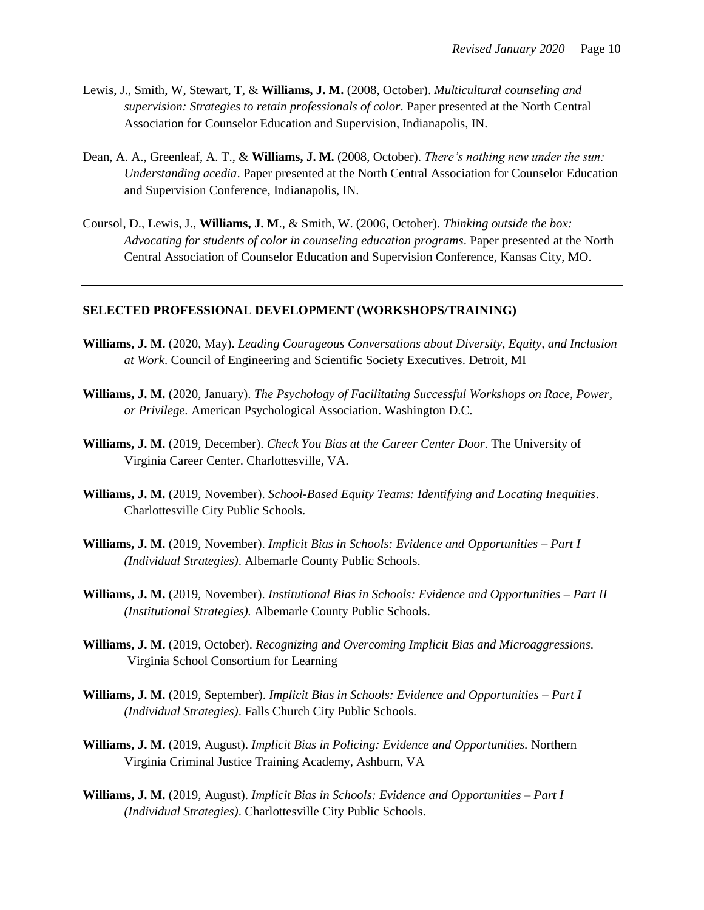- Lewis, J., Smith, W, Stewart, T, & **Williams, J. M.** (2008, October). *Multicultural counseling and supervision: Strategies to retain professionals of color*. Paper presented at the North Central Association for Counselor Education and Supervision, Indianapolis, IN.
- Dean, A. A., Greenleaf, A. T., & **Williams, J. M.** (2008, October). *There's nothing new under the sun: Understanding acedia*. Paper presented at the North Central Association for Counselor Education and Supervision Conference, Indianapolis, IN.
- Coursol, D., Lewis, J., **Williams, J. M**., & Smith, W. (2006, October). *Thinking outside the box: Advocating for students of color in counseling education programs*. Paper presented at the North Central Association of Counselor Education and Supervision Conference, Kansas City, MO.

### **SELECTED PROFESSIONAL DEVELOPMENT (WORKSHOPS/TRAINING)**

- **Williams, J. M.** (2020, May). *Leading Courageous Conversations about Diversity, Equity, and Inclusion at Work*. Council of Engineering and Scientific Society Executives. Detroit, MI
- **Williams, J. M.** (2020, January). *The Psychology of Facilitating Successful Workshops on Race, Power, or Privilege.* American Psychological Association. Washington D.C.
- **Williams, J. M.** (2019, December). *Check You Bias at the Career Center Door.* The University of Virginia Career Center. Charlottesville, VA.
- **Williams, J. M.** (2019, November). *School-Based Equity Teams: Identifying and Locating Inequities*. Charlottesville City Public Schools.
- **Williams, J. M.** (2019, November). *Implicit Bias in Schools: Evidence and Opportunities – Part I (Individual Strategies)*. Albemarle County Public Schools.
- **Williams, J. M.** (2019, November). *Institutional Bias in Schools: Evidence and Opportunities – Part II (Institutional Strategies).* Albemarle County Public Schools.
- **Williams, J. M.** (2019, October). *Recognizing and Overcoming Implicit Bias and Microaggressions.* Virginia School Consortium for Learning
- **Williams, J. M.** (2019, September). *Implicit Bias in Schools: Evidence and Opportunities – Part I (Individual Strategies)*. Falls Church City Public Schools.
- **Williams, J. M.** (2019, August). *Implicit Bias in Policing: Evidence and Opportunities.* Northern Virginia Criminal Justice Training Academy, Ashburn, VA
- **Williams, J. M.** (2019, August). *Implicit Bias in Schools: Evidence and Opportunities – Part I (Individual Strategies)*. Charlottesville City Public Schools.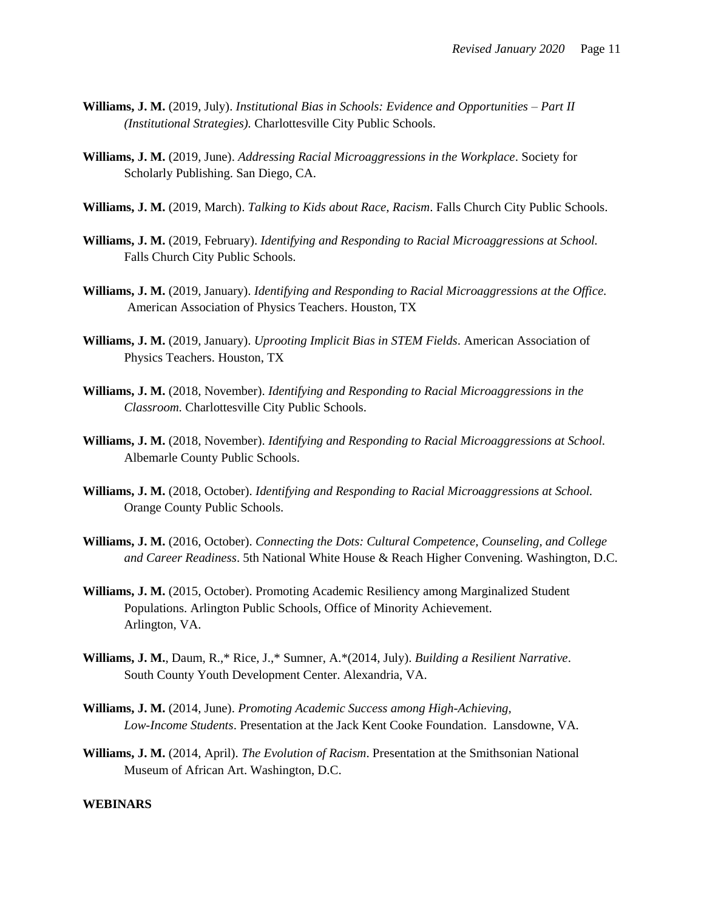- **Williams, J. M.** (2019, July). *Institutional Bias in Schools: Evidence and Opportunities – Part II (Institutional Strategies).* Charlottesville City Public Schools.
- **Williams, J. M.** (2019, June). *Addressing Racial Microaggressions in the Workplace*. Society for Scholarly Publishing. San Diego, CA.
- **Williams, J. M.** (2019, March). *Talking to Kids about Race, Racism*. Falls Church City Public Schools.
- **Williams, J. M.** (2019, February). *Identifying and Responding to Racial Microaggressions at School.* Falls Church City Public Schools.
- **Williams, J. M.** (2019, January). *Identifying and Responding to Racial Microaggressions at the Office.* American Association of Physics Teachers. Houston, TX
- **Williams, J. M.** (2019, January). *Uprooting Implicit Bias in STEM Fields*. American Association of Physics Teachers. Houston, TX
- **Williams, J. M.** (2018, November). *Identifying and Responding to Racial Microaggressions in the Classroom.* Charlottesville City Public Schools.
- **Williams, J. M.** (2018, November). *Identifying and Responding to Racial Microaggressions at School.* Albemarle County Public Schools.
- **Williams, J. M.** (2018, October). *Identifying and Responding to Racial Microaggressions at School.* Orange County Public Schools.
- **Williams, J. M.** (2016, October). *Connecting the Dots: Cultural Competence, Counseling, and College and Career Readiness*. 5th National White House & Reach Higher Convening. Washington, D.C.
- **Williams, J. M.** (2015, October). Promoting Academic Resiliency among Marginalized Student Populations. Arlington Public Schools, Office of Minority Achievement. Arlington, VA.
- **Williams, J. M.**, Daum, R.,\* Rice, J.,\* Sumner, A.\*(2014, July). *Building a Resilient Narrative*. South County Youth Development Center. Alexandria, VA.
- **Williams, J. M.** (2014, June). *Promoting Academic Success among High-Achieving, Low-Income Students*. Presentation at the Jack Kent Cooke Foundation. Lansdowne, VA.
- **Williams, J. M.** (2014, April). *The Evolution of Racism*. Presentation at the Smithsonian National Museum of African Art. Washington, D.C.

#### **WEBINARS**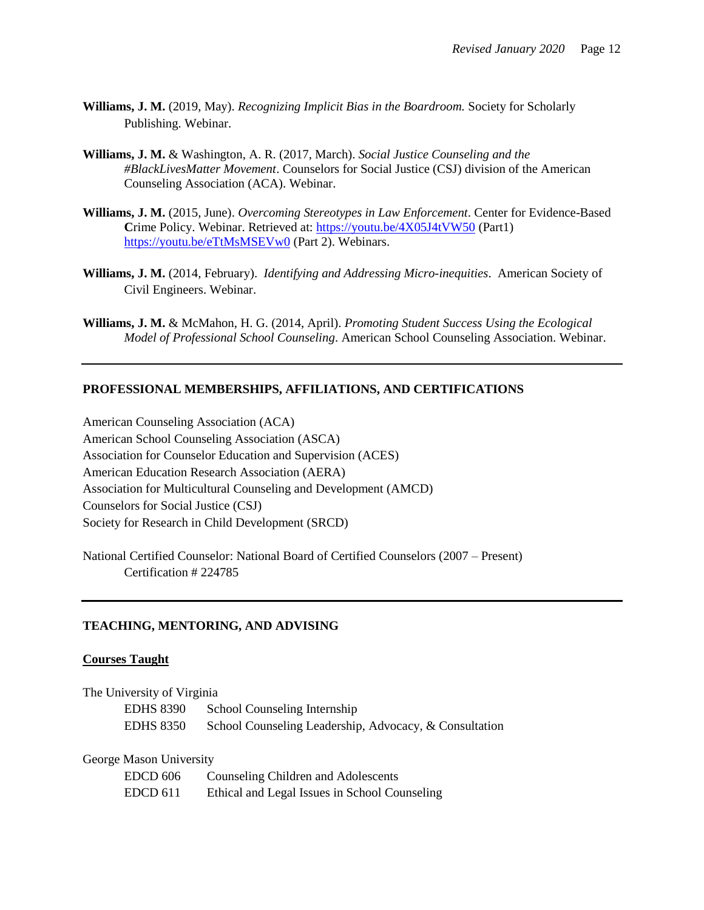- **Williams, J. M.** (2019, May). *Recognizing Implicit Bias in the Boardroom.* Society for Scholarly Publishing. Webinar.
- **Williams, J. M.** & Washington, A. R. (2017, March). *Social Justice Counseling and the #BlackLivesMatter Movement*. Counselors for Social Justice (CSJ) division of the American Counseling Association (ACA). Webinar.
- **Williams, J. M.** (2015, June). *Overcoming Stereotypes in Law Enforcement*. Center for Evidence-Based **C**rime Policy. Webinar. Retrieved at:<https://youtu.be/4X05J4tVW50> (Part1) <https://youtu.be/eTtMsMSEVw0> (Part 2). Webinars.
- **Williams, J. M.** (2014, February). *Identifying and Addressing Micro-inequities*. American Society of Civil Engineers. Webinar.
- **Williams, J. M.** & McMahon, H. G. (2014, April). *Promoting Student Success Using the Ecological Model of Professional School Counseling*. American School Counseling Association. Webinar.

#### **PROFESSIONAL MEMBERSHIPS, AFFILIATIONS, AND CERTIFICATIONS**

American Counseling Association (ACA) American School Counseling Association (ASCA) Association for Counselor Education and Supervision (ACES) American Education Research Association (AERA) Association for Multicultural Counseling and Development (AMCD) Counselors for Social Justice (CSJ) Society for Research in Child Development (SRCD)

National Certified Counselor: National Board of Certified Counselors (2007 – Present) Certification # 224785

## **TEACHING, MENTORING, AND ADVISING**

## **Courses Taught**

The University of Virginia EDHS 8390 School Counseling Internship EDHS 8350 School Counseling Leadership, Advocacy, & Consultation

#### George Mason University

| EDCD 606 | Counseling Children and Adolescents           |
|----------|-----------------------------------------------|
| EDCD 611 | Ethical and Legal Issues in School Counseling |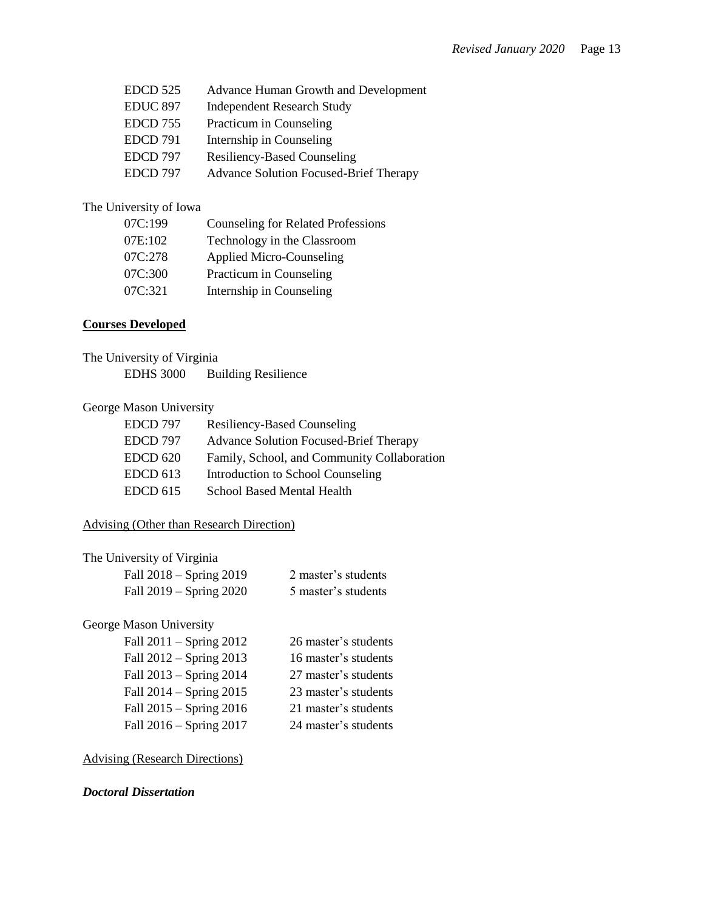| <b>EDCD 525</b> | <b>Advance Human Growth and Development</b> |
|-----------------|---------------------------------------------|
| <b>EDUC 897</b> | <b>Independent Research Study</b>           |
| <b>EDCD 755</b> | Practicum in Counseling                     |
| <b>EDCD</b> 791 | Internship in Counseling                    |
| EDCD 797        | <b>Resiliency-Based Counseling</b>          |
| EDCD 797        | Advance Solution Focused-Brief Therapy      |

# The University of Iowa

| 07C:199 | <b>Counseling for Related Professions</b> |
|---------|-------------------------------------------|
| 07E:102 | Technology in the Classroom               |
| 07C:278 | <b>Applied Micro-Counseling</b>           |
| 07C:300 | Practicum in Counseling                   |
| 07C:321 | Internship in Counseling                  |

# **Courses Developed**

| The University of Virginia |                            |  |
|----------------------------|----------------------------|--|
| <b>EDHS</b> 3000           | <b>Building Resilience</b> |  |

# George Mason University

| EDCD 797        | <b>Resiliency-Based Counseling</b>            |
|-----------------|-----------------------------------------------|
| EDCD 797        | <b>Advance Solution Focused-Brief Therapy</b> |
| <b>EDCD 620</b> | Family, School, and Community Collaboration   |
| <b>EDCD 613</b> | Introduction to School Counseling             |
| <b>EDCD 615</b> | <b>School Based Mental Health</b>             |

# Advising (Other than Research Direction)

| The University of Virginia  |                     |
|-----------------------------|---------------------|
| Fall $2018 -$ Spring $2019$ | 2 master's students |
| Fall $2019 -$ Spring $2020$ | 5 master's students |
| George Mason University     |                     |

#### ge Mason University<sup>.</sup>

| Fall $2011 -$ Spring $2012$ | 26 master's students |
|-----------------------------|----------------------|
| Fall $2012$ – Spring 2013   | 16 master's students |
| Fall 2013 – Spring 2014     | 27 master's students |
| Fall $2014 -$ Spring $2015$ | 23 master's students |
| Fall $2015 -$ Spring $2016$ | 21 master's students |
| Fall 2016 – Spring 2017     | 24 master's students |

# Advising (Research Directions)

# *Doctoral Dissertation*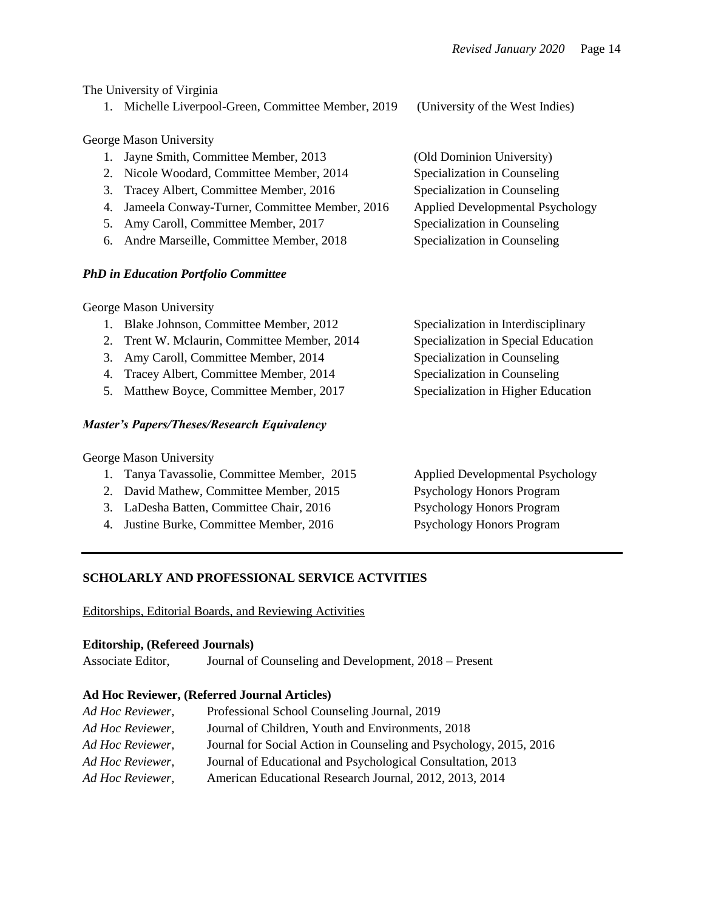The University of Virginia

1. Michelle Liverpool-Green, Committee Member, 2019 (University of the West Indies)

George Mason University

| 1. Jayne Smith, Committee Member, 2013           | (Old Dominion University)               |
|--------------------------------------------------|-----------------------------------------|
| 2. Nicole Woodard, Committee Member, 2014        | Specialization in Counseling            |
| 3. Tracey Albert, Committee Member, 2016         | Specialization in Counseling            |
| 4. Jameela Conway-Turner, Committee Member, 2016 | <b>Applied Developmental Psychology</b> |
| 5. Amy Caroll, Committee Member, 2017            | Specialization in Counseling            |
| 6. Andre Marseille, Committee Member, 2018       | Specialization in Counseling            |

# *PhD in Education Portfolio Committee*

George Mason University

- 1. Blake Johnson, Committee Member, 2012 Specialization in Interdisciplinary
- 2. Trent W. Mclaurin, Committee Member, 2014 Specialization in Special Education
- 3. Amy Caroll, Committee Member, 2014 Specialization in Counseling
- 4. Tracey Albert, Committee Member, 2014 Specialization in Counseling
- 5. Matthew Boyce, Committee Member, 2017 Specialization in Higher Education

# *Master's Papers/Theses/Research Equivalency*

George Mason University

- 1. Tanya Tavassolie, Committee Member, 2015 Applied Developmental Psychology
- 2. David Mathew, Committee Member, 2015 Psychology Honors Program
- 3. LaDesha Batten, Committee Chair, 2016 Psychology Honors Program
- 4. Justine Burke, Committee Member, 2016 Psychology Honors Program

# **SCHOLARLY AND PROFESSIONAL SERVICE ACTVITIES**

Editorships, Editorial Boards, and Reviewing Activities

## **Editorship, (Refereed Journals)**

Associate Editor, Journal of Counseling and Development, 2018 – Present

# **Ad Hoc Reviewer, (Referred Journal Articles)**

| Ad Hoc Reviewer, | Professional School Counseling Journal, 2019                       |
|------------------|--------------------------------------------------------------------|
| Ad Hoc Reviewer, | Journal of Children, Youth and Environments, 2018                  |
| Ad Hoc Reviewer, | Journal for Social Action in Counseling and Psychology, 2015, 2016 |
| Ad Hoc Reviewer, | Journal of Educational and Psychological Consultation, 2013        |
| Ad Hoc Reviewer. | American Educational Research Journal, 2012, 2013, 2014            |
|                  |                                                                    |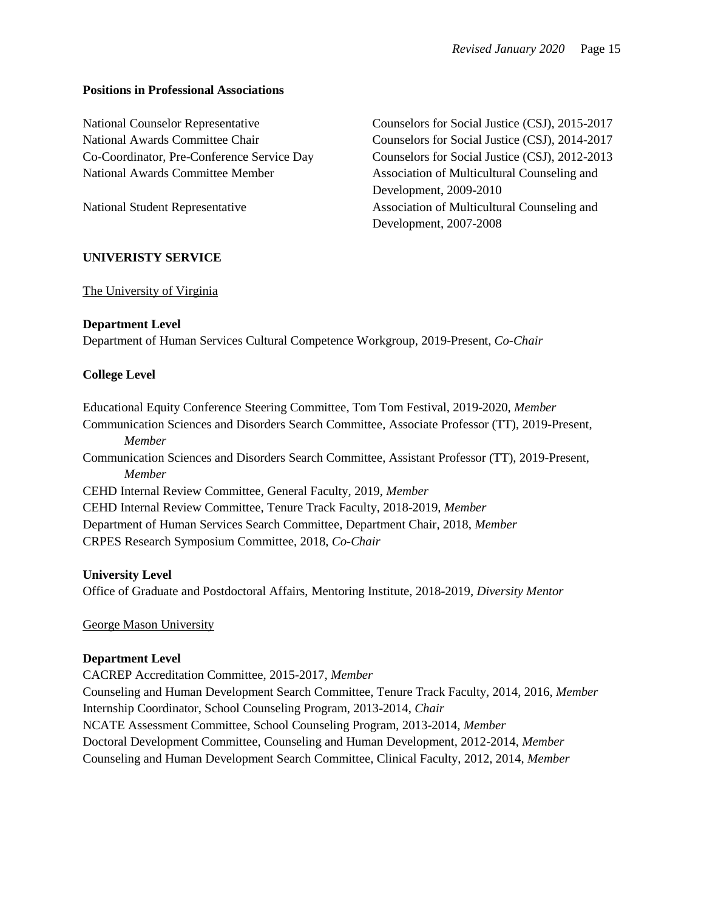### **Positions in Professional Associations**

National Counselor Representative Counselors for Social Justice (CSJ), 2015-2017 National Awards Committee Chair Counselors for Social Justice (CSJ), 2014-2017 Co-Coordinator, Pre-Conference Service Day Counselors for Social Justice (CSJ), 2012-2013 National Awards Committee Member Association of Multicultural Counseling and

Development, 2009-2010 National Student Representative Association of Multicultural Counseling and Development, 2007-2008

## **UNIVERISTY SERVICE**

## The University of Virginia

## **Department Level**

Department of Human Services Cultural Competence Workgroup, 2019-Present, *Co-Chair*

## **College Level**

Educational Equity Conference Steering Committee, Tom Tom Festival, 2019-2020, *Member* Communication Sciences and Disorders Search Committee, Associate Professor (TT), 2019-Present, *Member* Communication Sciences and Disorders Search Committee, Assistant Professor (TT), 2019-Present, *Member* CEHD Internal Review Committee, General Faculty, 2019, *Member*  CEHD Internal Review Committee, Tenure Track Faculty, 2018-2019, *Member*  Department of Human Services Search Committee, Department Chair, 2018, *Member*  CRPES Research Symposium Committee, 2018, *Co-Chair*

## **University Level**

Office of Graduate and Postdoctoral Affairs, Mentoring Institute, 2018-2019, *Diversity Mentor*

George Mason University

#### **Department Level**

CACREP Accreditation Committee, 2015-2017, *Member* Counseling and Human Development Search Committee, Tenure Track Faculty, 2014, 2016, *Member* Internship Coordinator, School Counseling Program, 2013-2014, *Chair* NCATE Assessment Committee, School Counseling Program, 2013-2014, *Member* Doctoral Development Committee, Counseling and Human Development, 2012-2014, *Member* Counseling and Human Development Search Committee, Clinical Faculty, 2012, 2014, *Member*